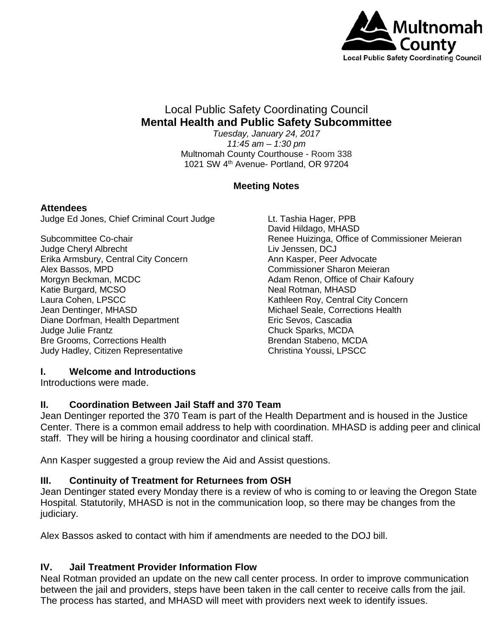

# Local Public Safety Coordinating Council **Mental Health and Public Safety Subcommittee**

*Tuesday, January 24, 2017 11:45 am – 1:30 pm* Multnomah County Courthouse - Room 338 1021 SW 4<sup>th</sup> Avenue- Portland, OR 97204

## **Meeting Notes**

#### **Attendees**

Judge Ed Jones, Chief Criminal Court Judge

Subcommittee Co-chair Judge Cheryl Albrecht Erika Armsbury, Central City Concern Alex Bassos, MPD Morgyn Beckman, MCDC Katie Burgard, MCSO Laura Cohen, LPSCC Jean Dentinger, MHASD Diane Dorfman, Health Department Judge Julie Frantz Bre Grooms, Corrections Health Judy Hadley, Citizen Representative

Lt. Tashia Hager, PPB David Hildago, MHASD Renee Huizinga, Office of Commissioner Meieran Liv Jenssen, DCJ Ann Kasper, Peer Advocate Commissioner Sharon Meieran Adam Renon, Office of Chair Kafoury Neal Rotman, MHASD Kathleen Roy, Central City Concern Michael Seale, Corrections Health Eric Sevos, Cascadia Chuck Sparks, MCDA Brendan Stabeno, MCDA Christina Youssi, LPSCC

## **I. Welcome and Introductions**

Introductions were made.

## **II. Coordination Between Jail Staff and 370 Team**

Jean Dentinger reported the 370 Team is part of the Health Department and is housed in the Justice Center. There is a common email address to help with coordination. MHASD is adding peer and clinical staff. They will be hiring a housing coordinator and clinical staff.

Ann Kasper suggested a group review the Aid and Assist questions.

# **III. Continuity of Treatment for Returnees from OSH**

Jean Dentinger stated every Monday there is a review of who is coming to or leaving the Oregon State Hospital*.* Statutorily, MHASD is not in the communication loop, so there may be changes from the judiciary.

Alex Bassos asked to contact with him if amendments are needed to the DOJ bill.

## **IV. Jail Treatment Provider Information Flow**

Neal Rotman provided an update on the new call center process. In order to improve communication between the jail and providers, steps have been taken in the call center to receive calls from the jail. The process has started, and MHASD will meet with providers next week to identify issues.